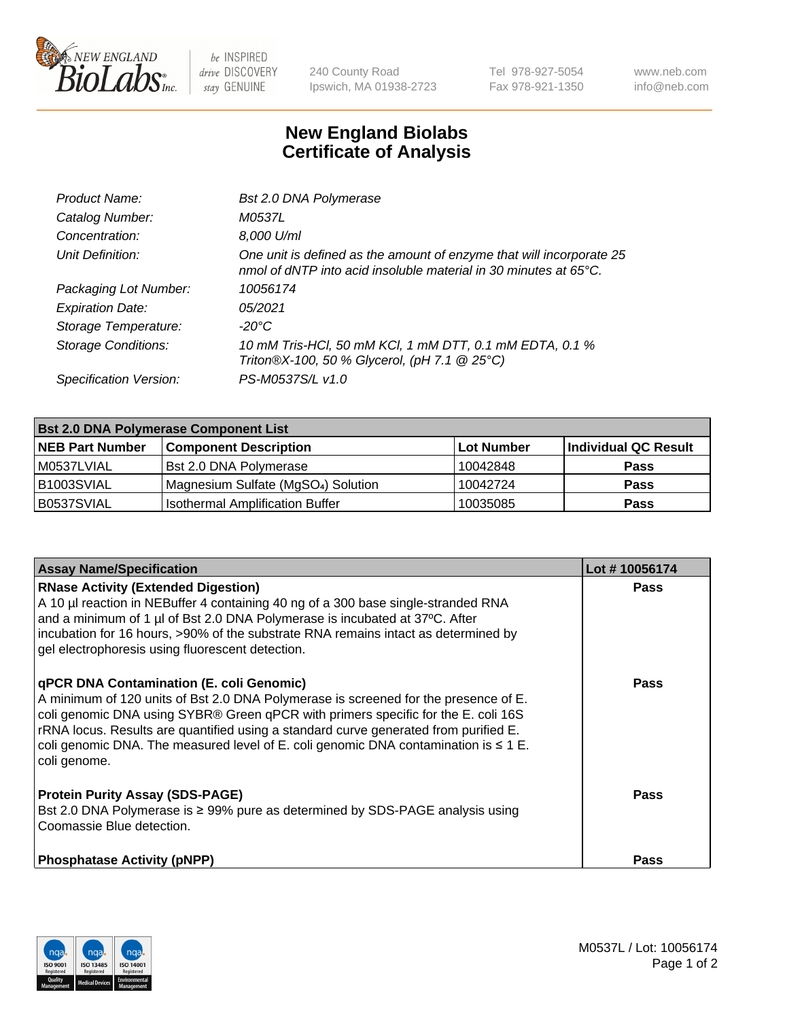

 $be$  INSPIRED drive DISCOVERY stay GENUINE

240 County Road Ipswich, MA 01938-2723 Tel 978-927-5054 Fax 978-921-1350 www.neb.com info@neb.com

## **New England Biolabs Certificate of Analysis**

| Bst 2.0 DNA Polymerase                                                                                                                   |
|------------------------------------------------------------------------------------------------------------------------------------------|
| M0537L                                                                                                                                   |
| 8,000 U/ml                                                                                                                               |
| One unit is defined as the amount of enzyme that will incorporate 25<br>nmol of dNTP into acid insoluble material in 30 minutes at 65°C. |
| 10056174                                                                                                                                 |
| 05/2021                                                                                                                                  |
| -20°C                                                                                                                                    |
| 10 mM Tris-HCl, 50 mM KCl, 1 mM DTT, 0.1 mM EDTA, 0.1 %<br>Triton®X-100, 50 % Glycerol, (pH 7.1 @ 25°C)                                  |
| PS-M0537S/L v1.0                                                                                                                         |
|                                                                                                                                          |

| <b>Bst 2.0 DNA Polymerase Component List</b> |                                                 |            |                      |  |  |
|----------------------------------------------|-------------------------------------------------|------------|----------------------|--|--|
| <b>NEB Part Number</b>                       | <b>Component Description</b>                    | Lot Number | Individual QC Result |  |  |
| M0537LVIAL                                   | Bst 2.0 DNA Polymerase                          | 10042848   | <b>Pass</b>          |  |  |
| B1003SVIAL                                   | Magnesium Sulfate (MgSO <sub>4</sub> ) Solution | 10042724   | <b>Pass</b>          |  |  |
| B0537SVIAL                                   | <b>Isothermal Amplification Buffer</b>          | 10035085   | <b>Pass</b>          |  |  |

| <b>Assay Name/Specification</b>                                                                                                                                                                                                                                                                                                                                                                                          | Lot #10056174 |
|--------------------------------------------------------------------------------------------------------------------------------------------------------------------------------------------------------------------------------------------------------------------------------------------------------------------------------------------------------------------------------------------------------------------------|---------------|
| <b>RNase Activity (Extended Digestion)</b><br>A 10 µl reaction in NEBuffer 4 containing 40 ng of a 300 base single-stranded RNA<br>and a minimum of 1 µl of Bst 2.0 DNA Polymerase is incubated at 37°C. After<br>incubation for 16 hours, >90% of the substrate RNA remains intact as determined by<br>gel electrophoresis using fluorescent detection.                                                                 | <b>Pass</b>   |
| qPCR DNA Contamination (E. coli Genomic)<br>A minimum of 120 units of Bst 2.0 DNA Polymerase is screened for the presence of E.<br>coli genomic DNA using SYBR® Green qPCR with primers specific for the E. coli 16S<br>rRNA locus. Results are quantified using a standard curve generated from purified E.<br>coli genomic DNA. The measured level of E. coli genomic DNA contamination is $\leq 1$ E.<br>coli genome. | Pass          |
| <b>Protein Purity Assay (SDS-PAGE)</b><br>Bst 2.0 DNA Polymerase is ≥ 99% pure as determined by SDS-PAGE analysis using<br>Coomassie Blue detection.                                                                                                                                                                                                                                                                     | Pass          |
| <b>Phosphatase Activity (pNPP)</b>                                                                                                                                                                                                                                                                                                                                                                                       | Pass          |